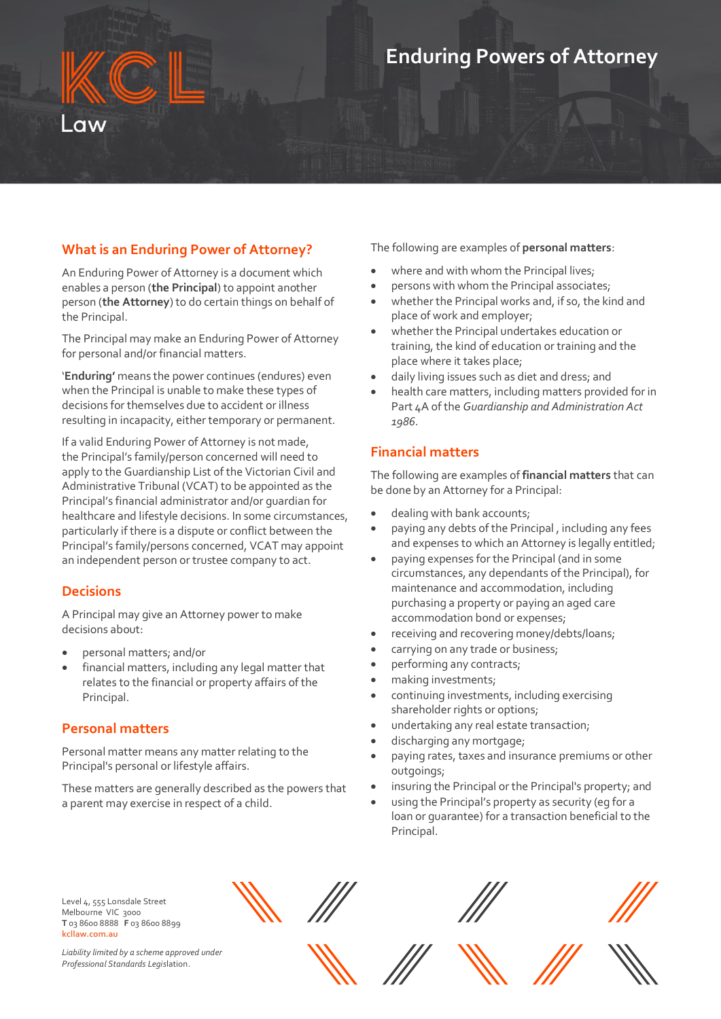# **What is an Enduring Power of Attorney?**

An Enduring Power of Attorney is a document which enables a person (**the Principal**) to appoint another person (**the Attorney**) to do certain things on behalf of the Principal.

The Principal may make an Enduring Power of Attorney for personal and/or financial matters.

'**Enduring'** means the power continues (endures) even when the Principal is unable to make these types of decisions for themselves due to accident or illness resulting in incapacity, either temporary or permanent.

If a valid Enduring Power of Attorney is not made, the Principal's family/person concerned will need to apply to the Guardianship List of the Victorian Civil and Administrative Tribunal (VCAT) to be appointed as the Principal's financial administrator and/or guardian for healthcare and lifestyle decisions. In some circumstances, particularly if there is a dispute or conflict between the Principal's family/persons concerned, VCAT may appoint an independent person or trustee company to act.

#### **Decisions**

A Principal may give an Attorney power to make decisions about:

- personal matters; and/or
- financial matters, including any legal matter that relates to the financial or property affairs of the Principal.

#### **Personal matters**

Personal matter means any matter relating to the Principal's personal or lifestyle affairs.

These matters are generally described as the powers that a parent may exercise in respect of a child.

The following are examples of **personal matters**:

- where and with whom the Principal lives;
- persons with whom the Principal associates;
- whether the Principal works and, if so, the kind and place of work and employer;
- whether the Principal undertakes education or training, the kind of education or training and the place where it takes place;
- daily living issues such as diet and dress; and
- health care matters, including matters provided for in Part 4A of the *Guardianship and Administration Act 1986*.

# **Financial matters**

The following are examples of **financial matters** that can be done by an Attorney for a Principal:

- dealing with bank accounts;
- paying any debts of the Principal , including any fees and expenses to which an Attorney is legally entitled;
- paying expenses for the Principal (and in some circumstances, any dependants of the Principal), for maintenance and accommodation, including purchasing a property or paying an aged care accommodation bond or expenses;
- receiving and recovering money/debts/loans;
- carrying on any trade or business;
- performing any contracts;
- making investments;
- continuing investments, including exercising shareholder rights or options;
- undertaking any real estate transaction;
- discharging any mortgage;
- paying rates, taxes and insurance premiums or other outgoings;
- insuring the Principal or the Principal's property; and
- using the Principal's property as security (eg for a loan or guarantee) for a transaction beneficial to the Principal.

Level 4, 555 Lonsdale Street Melbourne VIC 3000 **T** 03 8600 8888 **F** 03 8600 8899 **kcllaw.com.au**

*Liability limited by a scheme approved under Professional Standards Legis*lation.







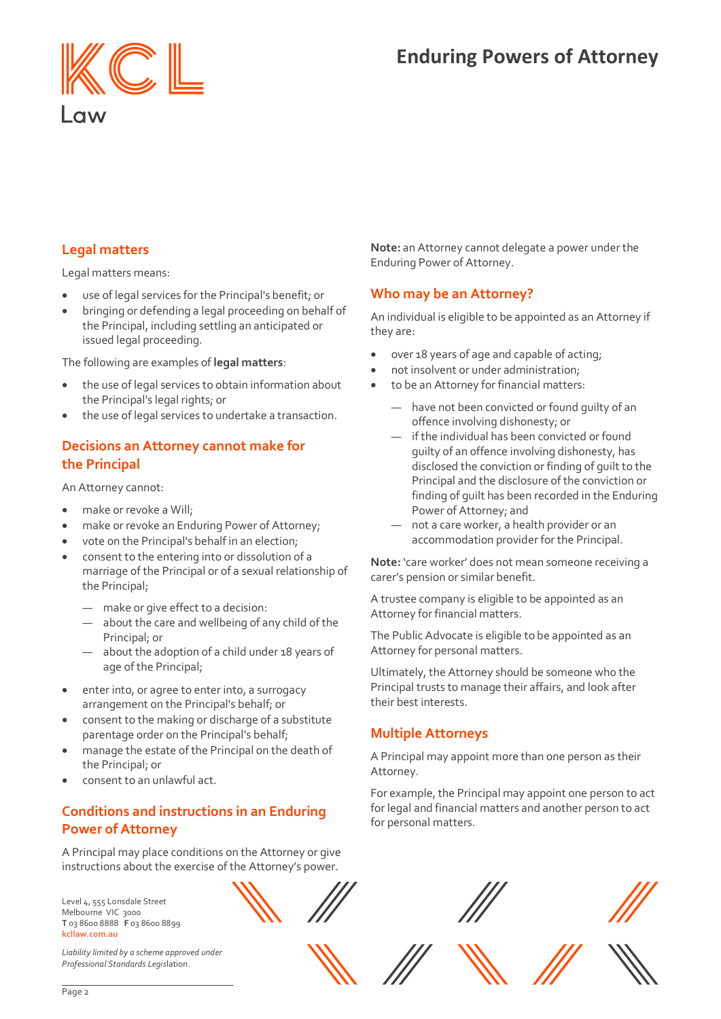

# **Legal matters**

Legal matters means:

- use of legal services for the Principal's benefit; or
- bringing or defending a legal proceeding on behalf of the Principal, including settling an anticipated or issued legal proceeding.

The following are examples of **legal matters**:

- the use of legal services to obtain information about the Principal's legal rights; or
- the use of legal services to undertake a transaction.

# **Decisions an Attorney cannot make for the Principal**

An Attorney cannot:

- make or revoke a Will:
- make or revoke an Enduring Power of Attorney;
- vote on the Principal's behalf in an election;
- consent to the entering into or dissolution of a marriage of the Principal or of a sexual relationship of the Principal;
	- make or give effect to a decision:
	- about the care and wellbeing of any child of the Principal; or
	- about the adoption of a child under 18 years of age of the Principal;
- enter into, or agree to enter into, a surrogacy arrangement on the Principal's behalf; or
- consent to the making or discharge of a substitute parentage order on the Principal's behalf;
- manage the estate of the Principal on the death of the Principal; or
- consent to an unlawful act.

# **Conditions and instructions in an Enduring Power of Attorney**

A Principal may place conditions on the Attorney or give instructions about the exercise of the Attorney's power.

Level 4, 555 Lonsdale Street Melbourne VIC 3000 **T** 03 8600 8888 **F** 03 8600 8899 **kcllaw.com.au**



*Liability limited by a scheme approved under Professional Standards Legis*lation.

**Note:** an Attorney cannot delegate a power under the Enduring Power of Attorney.

# **Who may be an Attorney?**

An individual is eligible to be appointed as an Attorney if they are:

- over 18 years of age and capable of acting;
- not insolvent or under administration;
- to be an Attorney for financial matters:
	- have not been convicted or found quilty of an offence involving dishonesty; or
	- if the individual has been convicted or found guilty of an offence involving dishonesty, has disclosed the conviction or finding of guilt to the Principal and the disclosure of the conviction or finding of guilt has been recorded in the Enduring Power of Attorney; and
	- not a care worker, a health provider or an accommodation provider for the Principal.

**Note:** 'care worker' does not mean someone receiving a carer's pension or similar benefit.

A trustee company is eligible to be appointed as an Attorney for financial matters.

The Public Advocate is eligible to be appointed as an Attorney for personal matters.

Ultimately, the Attorney should be someone who the Principal trusts to manage their affairs, and look after their best interests.

# **Multiple Attorneys**

A Principal may appoint more than one person as their Attorney.

For example, the Principal may appoint one person to act for legal and financial matters and another person to act for personal matters.





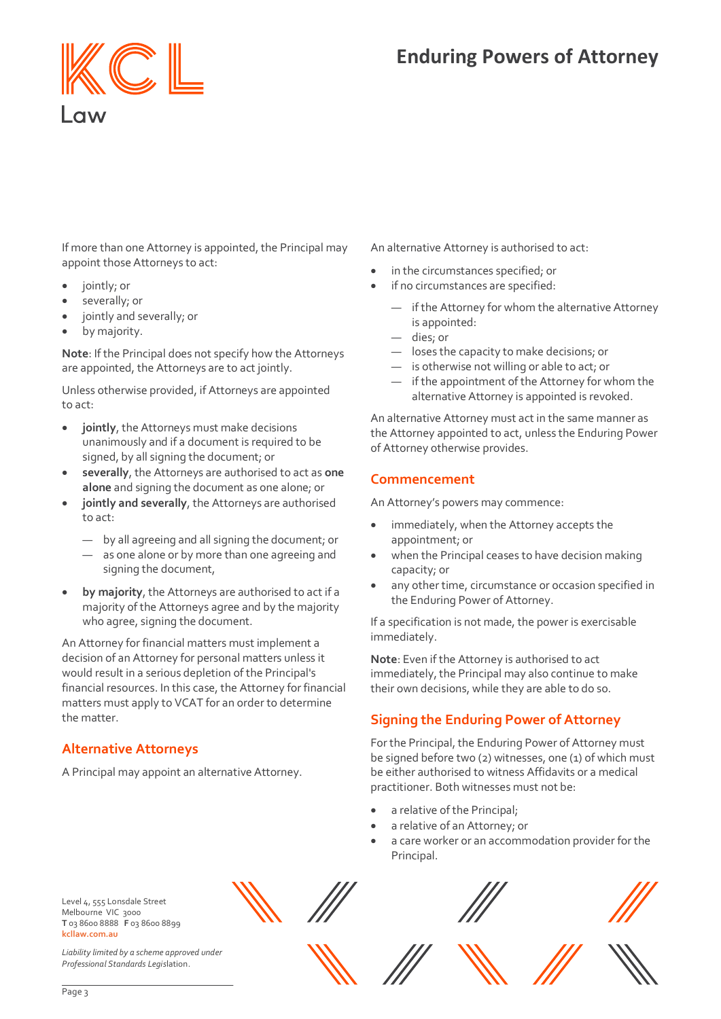

If more than one Attorney is appointed, the Principal may appoint those Attorneys to act:

- jointly; or
- severally; or
- jointly and severally; or
- by majority.

**Note**: If the Principal does not specify how the Attorneys are appointed, the Attorneys are to act jointly.

Unless otherwise provided, if Attorneys are appointed to act:

- **jointly**, the Attorneys must make decisions unanimously and if a document is required to be signed, by all signing the document; or
- **severally**, the Attorneys are authorised to act as **one alone** and signing the document as one alone; or
- **jointly and severally**, the Attorneys are authorised to act:
	- by all agreeing and all signing the document; or
	- as one alone or by more than one agreeing and signing the document,
- **by majority**, the Attorneys are authorised to act if a majority of the Attorneys agree and by the majority who agree, signing the document.

An Attorney for financial matters must implement a decision of an Attorney for personal matters unless it would result in a serious depletion of the Principal's financial resources. In this case, the Attorney for financial matters must apply to VCAT for an order to determine the matter.

# **Alternative Attorneys**

A Principal may appoint an alternative Attorney.

An alternative Attorney is authorised to act:

- in the circumstances specified; or
- if no circumstances are specified:
	- if the Attorney for whom the alternative Attorney is appointed:
	- dies; or
	- loses the capacity to make decisions; or
	- is otherwise not willing or able to act; or
	- if the appointment of the Attorney for whom the alternative Attorney is appointed is revoked.

An alternative Attorney must act in the same manner as the Attorney appointed to act, unless the Enduring Power of Attorney otherwise provides.

#### **Commencement**

An Attorney's powers may commence:

- immediately, when the Attorney accepts the appointment; or
- when the Principal ceases to have decision making capacity; or
- any other time, circumstance or occasion specified in the Enduring Power of Attorney.

If a specification is not made, the power is exercisable immediately.

**Note**: Even if the Attorney is authorised to act immediately, the Principal may also continue to make their own decisions, while they are able to do so.

# **Signing the Enduring Power of Attorney**

For the Principal, the Enduring Power of Attorney must be signed before two (2) witnesses, one (1) of which must be either authorised to witness Affidavits or a medical practitioner. Both witnesses must not be:

- a relative of the Principal;
- a relative of an Attorney; or
- a care worker or an accommodation provider for the Principal.

Level 4, 555 Lonsdale Street Melbourne VIC 3000 **T** 03 8600 8888 **F** 03 8600 8899 **kcllaw.com.au**

*Liability limited by a scheme approved under Professional Standards Legis*lation.









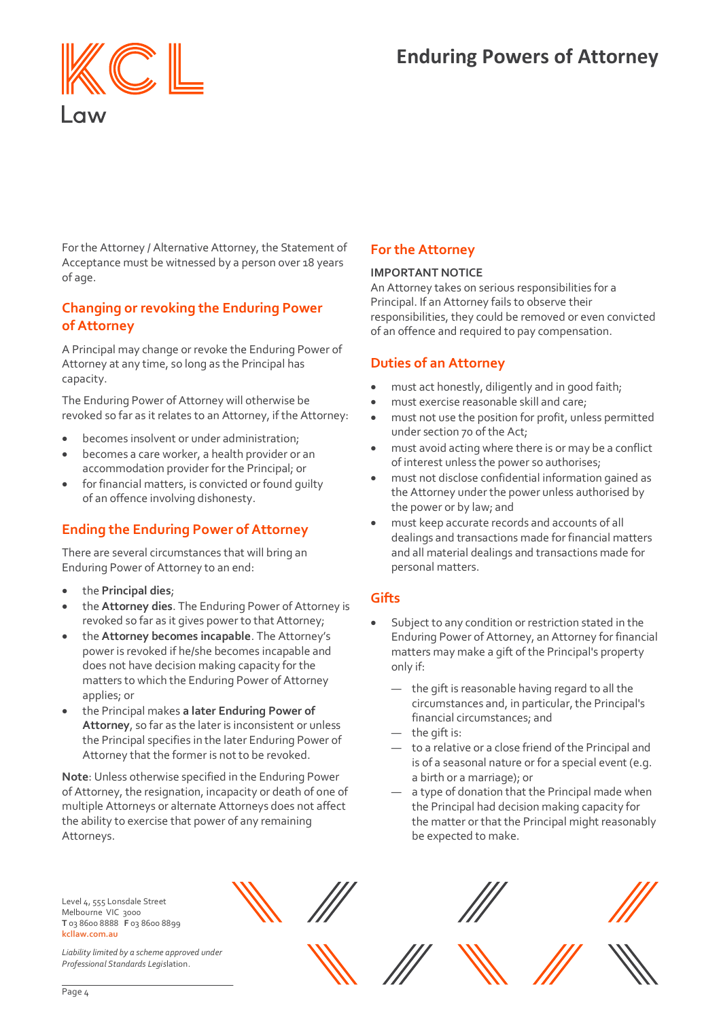

For the Attorney / Alternative Attorney, the Statement of Acceptance must be witnessed by a person over 18 years of age.

# **Changing or revoking the Enduring Power of Attorney**

A Principal may change or revoke the Enduring Power of Attorney at any time, so long as the Principal has capacity.

The Enduring Power of Attorney will otherwise be revoked so far as it relates to an Attorney, if the Attorney:

- becomes insolvent or under administration;
- becomes a care worker, a health provider or an accommodation provider for the Principal; or
- for financial matters, is convicted or found quilty of an offence involving dishonesty.

# **Ending the Enduring Power of Attorney**

There are several circumstances that will bring an Enduring Power of Attorney to an end:

- the **Principal dies**;
- the **Attorney dies**. The Enduring Power of Attorney is revoked so far as it gives power to that Attorney;
- the **Attorney becomes incapable**. The Attorney's power is revoked if he/she becomes incapable and does not have decision making capacity for the matters to which the Enduring Power of Attorney applies; or
- the Principal makes **a later Enduring Power of Attorney**, so far as the later is inconsistent or unless the Principal specifies in the later Enduring Power of Attorney that the former is not to be revoked.

**Note**: Unless otherwise specified in the Enduring Power of Attorney, the resignation, incapacity or death of one of multiple Attorneys or alternate Attorneys does not affect the ability to exercise that power of any remaining Attorneys.

#### Level 4, 555 Lonsdale Street Melbourne VIC 3000 **T** 03 8600 8888 **F** 03 8600 8899 **kcllaw.com.au**

*Liability limited by a scheme approved under Professional Standards Legis*lation.



# **For the Attorney**

#### **IMPORTANT NOTICE**

An Attorney takes on serious responsibilities for a Principal. If an Attorney fails to observe their responsibilities, they could be removed or even convicted of an offence and required to pay compensation.

### **Duties of an Attorney**

- must act honestly, diligently and in good faith;
- must exercise reasonable skill and care;
- must not use the position for profit, unless permitted under section 70 of the Act;
- must avoid acting where there is or may be a conflict of interest unless the power so authorises;
- must not disclose confidential information gained as the Attorney under the power unless authorised by the power or by law; and
- must keep accurate records and accounts of all dealings and transactions made for financial matters and all material dealings and transactions made for personal matters.

# **Gifts**

- Subject to any condition or restriction stated in the Enduring Power of Attorney, an Attorney for financial matters may make a gift of the Principal's property only if:
	- the gift is reasonable having regard to all the circumstances and, in particular, the Principal's financial circumstances; and
	- the gift is:
	- to a relative or a close friend of the Principal and is of a seasonal nature or for a special event (e.g. a birth or a marriage); or
	- a type of donation that the Principal made when the Principal had decision making capacity for the matter or that the Principal might reasonably be expected to make.